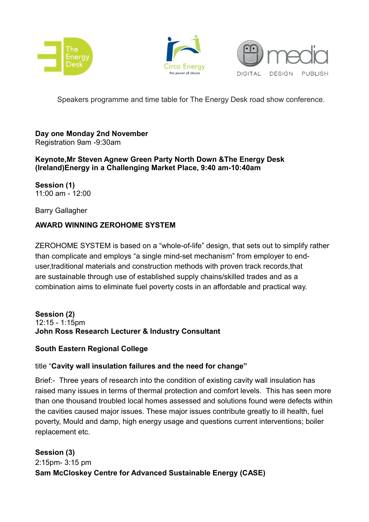





Speakers programme and time table for The Energy Desk road show conference.

#### **Day one Monday 2nd November** Registration 9am -9:30am

**Keynote,Mr Steven Agnew Green Party North Down &The Energy Desk (Ireland)Energy in a Challenging Market Place, 9:40 am-10:40am**

**Session (1)** 11:00 am - 12:00

Barry Gallagher

# **AWARD WINNING ZEROHOME SYSTEM**

ZEROHOME SYSTEM is based on a "whole-of-life" design, that sets out to simplify rather than complicate and employs "a single mind-set mechanism" from employer to enduser,traditional materials and construction methods with proven track records,that are sustainable through use of established supply chains/skilled trades and as a combination aims to eliminate fuel poverty costs in an affordable and practical way.

#### **Session (2)** 12:15 - 1:15pm **John Ross Research Lecturer & Industry Consultant**

## **South Eastern Regional College**

# title "**Cavity wall insulation failures and the need for change"**

Brief:- Three years of research into the condition of existing cavity wall insulation has raised many issues in terms of thermal protection and comfort levels. This has seen more than one thousand troubled local homes assessed and solutions found were defects within the cavities caused major issues. These major issues contribute greatly to ill health, fuel poverty, Mould and damp, high energy usage and questions current interventions; boiler replacement etc.

**Session (3)** 2:15pm- 3:15 pm **Sam McCloskey Centre for Advanced Sustainable Energy (CASE)**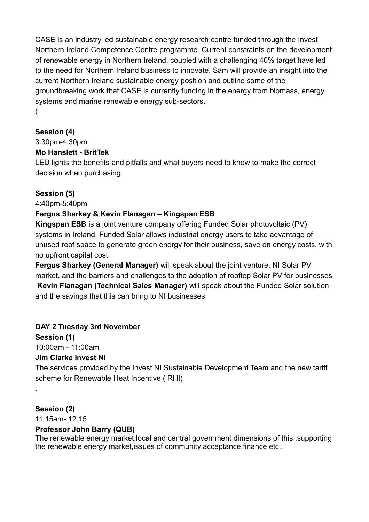CASE is an industry led sustainable energy research centre funded through the Invest Northern Ireland Competence Centre programme. Current constraints on the development of renewable energy in Northern Ireland, coupled with a challenging 40% target have led to the need for Northern Ireland business to innovate. Sam will provide an insight into the current Northern Ireland sustainable energy position and outline some of the groundbreaking work that CASE is currently funding in the energy from biomass, energy systems and marine renewable energy sub-sectors. (

## **Session (4)**

3:30pm-4:30pm

## **Mo Hanslett - BritTek**

LED lights the benefits and pitfalls and what buyers need to know to make the correct decision when purchasing.

## **Session (5)**

4:40pm-5:40pm

## **Fergus Sharkey & Kevin Flanagan – Kingspan ESB**

**Kingspan ESB** is a joint venture company offering Funded Solar photovoltaic (PV) systems in Ireland. Funded Solar allows industrial energy users to take advantage of unused roof space to generate green energy for their business, save on energy costs, with no upfront capital cost.

**Fergus Sharkey (General Manager)** will speak about the joint venture, NI Solar PV market, and the barriers and challenges to the adoption of rooftop Solar PV for businesses **Kevin Flanagan (Technical Sales Manager)** will speak about the Funded Solar solution and the savings that this can bring to NI businesses

## **DAY 2 Tuesday 3rd November**

**Session (1)** 10:00am - 11:00am

## **Jim Clarke Invest NI**

The services provided by the Invest NI Sustainable Development Team and the new tariff scheme for Renewable Heat Incentive ( RHI)

# **Session (2)**

.

11:15am- 12:15

## **Professor John Barry (QUB)**

The renewable energy market,local and central government dimensions of this ,supporting the renewable energy market,issues of community acceptance,finance etc..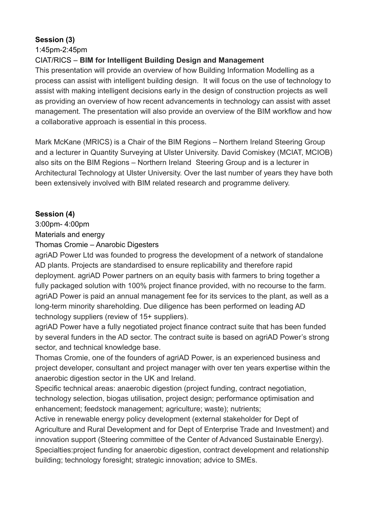# **Session (3)**

1:45pm-2:45pm

# CIAT/RICS – **BIM for Intelligent Building Design and Management**

This presentation will provide an overview of how Building Information Modelling as a process can assist with intelligent building design. It will focus on the use of technology to assist with making intelligent decisions early in the design of construction projects as well as providing an overview of how recent advancements in technology can assist with asset management. The presentation will also provide an overview of the BIM workflow and how a collaborative approach is essential in this process.

Mark McKane (MRICS) is a Chair of the BIM Regions – Northern Ireland Steering Group and a lecturer in Quantity Surveying at Ulster University. David Comiskey (MCIAT, MCIOB) also sits on the BIM Regions – Northern Ireland Steering Group and is a lecturer in Architectural Technology at Ulster University. Over the last number of years they have both been extensively involved with BIM related research and programme delivery.

# **Session (4)**

3:00pm- 4:00pm

Materials and energy

Thomas Cromie – Anarobic Digesters

agriAD Power Ltd was founded to progress the development of a network of standalone AD plants. Projects are standardised to ensure replicability and therefore rapid deployment. agriAD Power partners on an equity basis with farmers to bring together a fully packaged solution with 100% project finance provided, with no recourse to the farm. agriAD Power is paid an annual management fee for its services to the plant, as well as a long-term minority shareholding. Due diligence has been performed on leading AD technology suppliers (review of 15+ suppliers).

agriAD Power have a fully negotiated project finance contract suite that has been funded by several funders in the AD sector. The contract suite is based on agriAD Power's strong sector, and technical knowledge base.

Thomas Cromie, one of the founders of agriAD Power, is an experienced business and project developer, consultant and project manager with over ten years expertise within the anaerobic digestion sector in the UK and Ireland.

Specific technical areas: anaerobic digestion (project funding, contract negotiation, technology selection, biogas utilisation, project design; performance optimisation and enhancement; feedstock management; agriculture; waste); nutrients;

Active in renewable energy policy development (external stakeholder for Dept of Agriculture and Rural Development and for Dept of Enterprise Trade and Investment) and innovation support (Steering committee of the Center of Advanced Sustainable Energy). Specialties:project funding for anaerobic digestion, contract development and relationship building; technology foresight; strategic innovation; advice to SMEs.